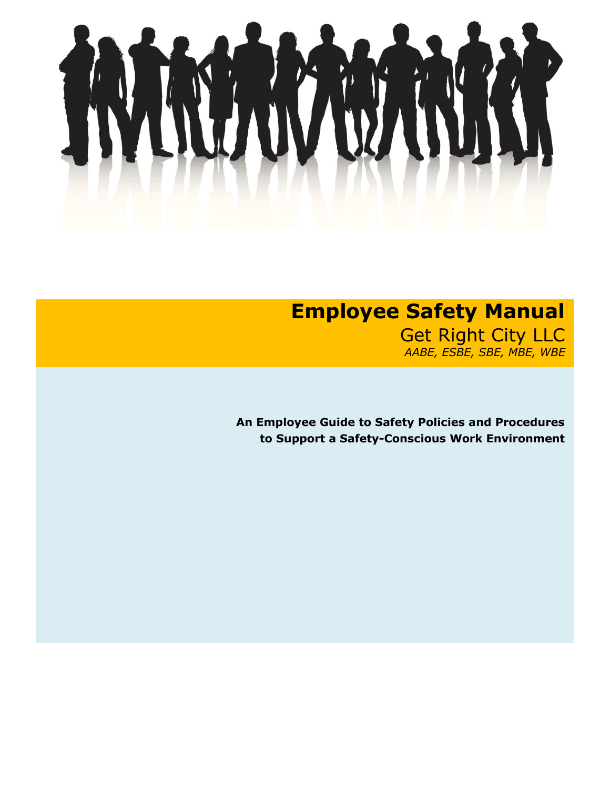

# **Employee Safety Manual**

Get Right City LLC *AABE, ESBE, SBE, MBE, WBE*

**An Employee Guide to Safety Policies and Procedures to Support a Safety-Conscious Work Environment**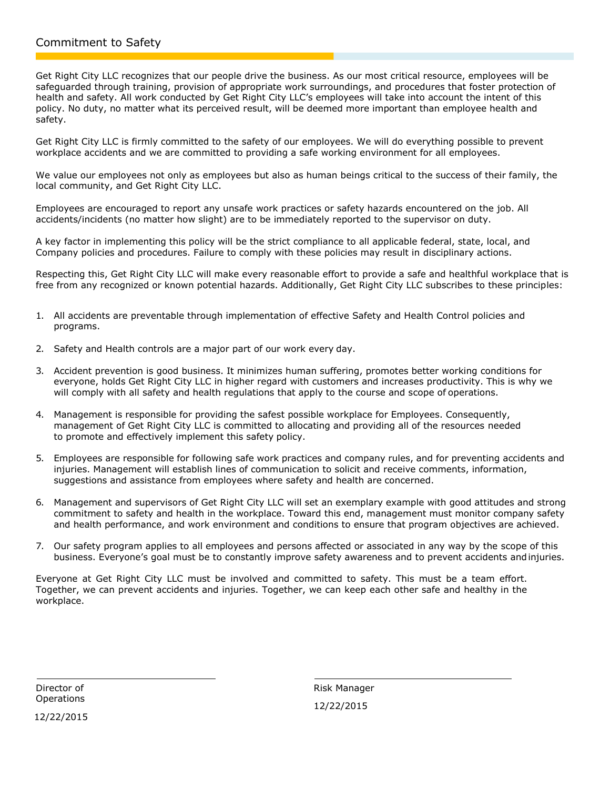Get Right City LLC recognizes that our people drive the business. As our most critical resource, employees will be safeguarded through training, provision of appropriate work surroundings, and procedures that foster protection of health and safety. All work conducted by Get Right City LLC's employees will take into account the intent of this policy. No duty, no matter what its perceived result, will be deemed more important than employee health and safety.

Get Right City LLC is firmly committed to the safety of our employees. We will do everything possible to prevent workplace accidents and we are committed to providing a safe working environment for all employees.

We value our employees not only as employees but also as human beings critical to the success of their family, the local community, and Get Right City LLC.

Employees are encouraged to report any unsafe work practices or safety hazards encountered on the job. All accidents/incidents (no matter how slight) are to be immediately reported to the supervisor on duty.

A key factor in implementing this policy will be the strict compliance to all applicable federal, state, local, and Company policies and procedures. Failure to comply with these policies may result in disciplinary actions.

Respecting this, Get Right City LLC will make every reasonable effort to provide a safe and healthful workplace that is free from any recognized or known potential hazards. Additionally, Get Right City LLC subscribes to these principles:

- 1. All accidents are preventable through implementation of effective Safety and Health Control policies and programs.
- 2. Safety and Health controls are a major part of our work every day.
- 3. Accident prevention is good business. It minimizes human suffering, promotes better working conditions for everyone, holds Get Right City LLC in higher regard with customers and increases productivity. This is why we will comply with all safety and health regulations that apply to the course and scope of operations.
- 4. Management is responsible for providing the safest possible workplace for Employees. Consequently, management of Get Right City LLC is committed to allocating and providing all of the resources needed to promote and effectively implement this safety policy.
- 5. Employees are responsible for following safe work practices and company rules, and for preventing accidents and injuries. Management will establish lines of communication to solicit and receive comments, information, suggestions and assistance from employees where safety and health are concerned.
- 6. Management and supervisors of Get Right City LLC will set an exemplary example with good attitudes and strong commitment to safety and health in the workplace. Toward this end, management must monitor company safety and health performance, and work environment and conditions to ensure that program objectives are achieved.
- 7. Our safety program applies to all employees and persons affected or associated in any way by the scope of this business. Everyone's goal must be to constantly improve safety awareness and to prevent accidents andinjuries.

Everyone at Get Right City LLC must be involved and committed to safety. This must be a team effort. Together, we can prevent accidents and injuries. Together, we can keep each other safe and healthy in the workplace.

Director of Operations Risk Manager 12/22/2015

12/22/2015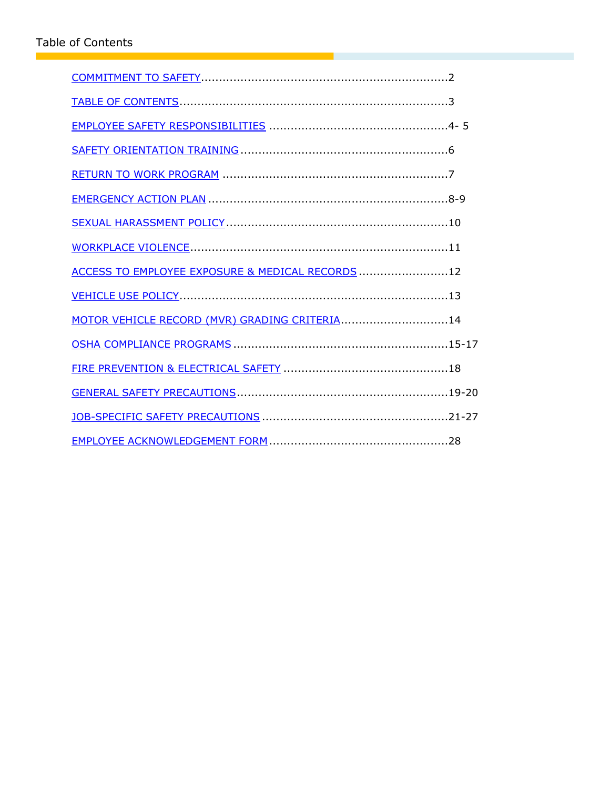a na matang

| ACCESS TO EMPLOYEE EXPOSURE & MEDICAL RECORDS 12 |  |
|--------------------------------------------------|--|
|                                                  |  |
| MOTOR VEHICLE RECORD (MVR) GRADING CRITERIA14    |  |
|                                                  |  |
|                                                  |  |
|                                                  |  |
|                                                  |  |
|                                                  |  |

a sa sa salawan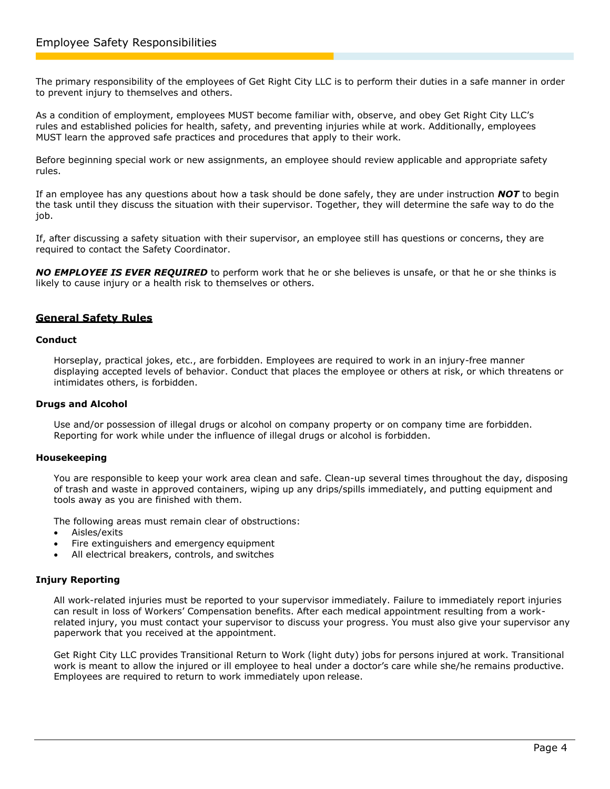The primary responsibility of the employees of Get Right City LLC is to perform their duties in a safe manner in order to prevent injury to themselves and others.

As a condition of employment, employees MUST become familiar with, observe, and obey Get Right City LLC's rules and established policies for health, safety, and preventing injuries while at work. Additionally, employees MUST learn the approved safe practices and procedures that apply to their work.

Before beginning special work or new assignments, an employee should review applicable and appropriate safety rules.

If an employee has any questions about how a task should be done safely, they are under instruction *NOT* to begin the task until they discuss the situation with their supervisor. Together, they will determine the safe way to do the job.

If, after discussing a safety situation with their supervisor, an employee still has questions or concerns, they are required to contact the Safety Coordinator.

*NO EMPLOYEE IS EVER REQUIRED* to perform work that he or she believes is unsafe, or that he or she thinks is likely to cause injury or a health risk to themselves or others.

## **General Safety Rules**

#### **Conduct**

Horseplay, practical jokes, etc., are forbidden. Employees are required to work in an injury-free manner displaying accepted levels of behavior. Conduct that places the employee or others at risk, or which threatens or intimidates others, is forbidden.

#### **Drugs and Alcohol**

Use and/or possession of illegal drugs or alcohol on company property or on company time are forbidden. Reporting for work while under the influence of illegal drugs or alcohol is forbidden.

#### **Housekeeping**

You are responsible to keep your work area clean and safe. Clean-up several times throughout the day, disposing of trash and waste in approved containers, wiping up any drips/spills immediately, and putting equipment and tools away as you are finished with them.

The following areas must remain clear of obstructions:

- Aisles/exits
- Fire extinguishers and emergency equipment
- All electrical breakers, controls, and switches

#### **Injury Reporting**

All work-related injuries must be reported to your supervisor immediately. Failure to immediately report injuries can result in loss of Workers' Compensation benefits. After each medical appointment resulting from a workrelated injury, you must contact your supervisor to discuss your progress. You must also give your supervisor any paperwork that you received at the appointment.

Get Right City LLC provides Transitional Return to Work (light duty) jobs for persons injured at work. Transitional work is meant to allow the injured or ill employee to heal under a doctor's care while she/he remains productive. Employees are required to return to work immediately upon release.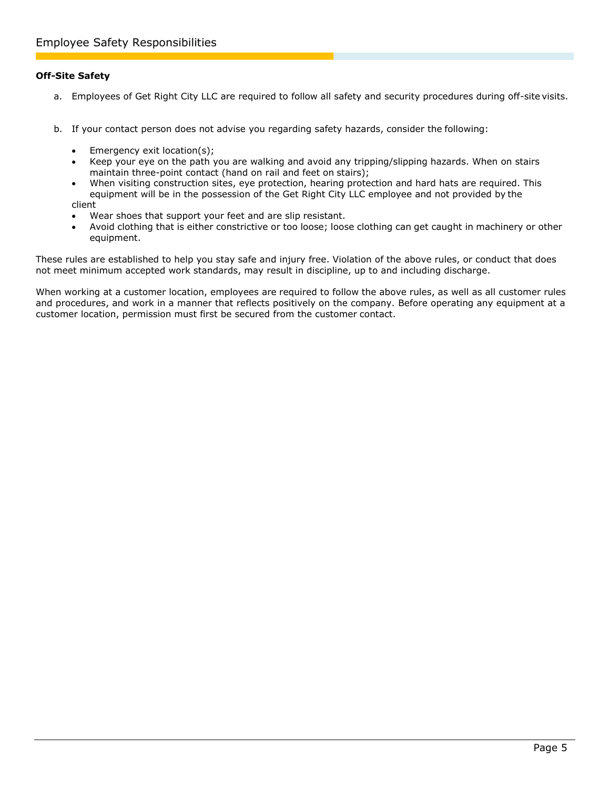#### <span id="page-4-0"></span>**Off-Site Safety**

- a. Employees of Get Right City LLC are required to follow all safety and security procedures during off-site visits.
- b. If your contact person does not advise you regarding safety hazards, consider the following:
	- Emergency exit location(s);
	- Keep your eye on the path you are walking and avoid any tripping/slipping hazards. When on stairs maintain three-point contact (hand on rail and feet on stairs);
	- When visiting construction sites, eye protection, hearing protection and hard hats are required. This equipment will be in the possession of the Get Right City LLC employee and not provided by the client
	- Wear shoes that support your feet and are slip resistant.
	- Avoid clothing that is either constrictive or too loose; loose clothing can get caught in machinery or other equipment.

These rules are established to help you stay safe and injury free. Violation of the above rules, or conduct that does not meet minimum accepted work standards, may result in discipline, up to and including discharge.

When working at a customer location, employees are required to follow the above rules, as well as all customer rules and procedures, and work in a manner that reflects positively on the company. Before operating any equipment at a customer location, permission must first be secured from the customer contact.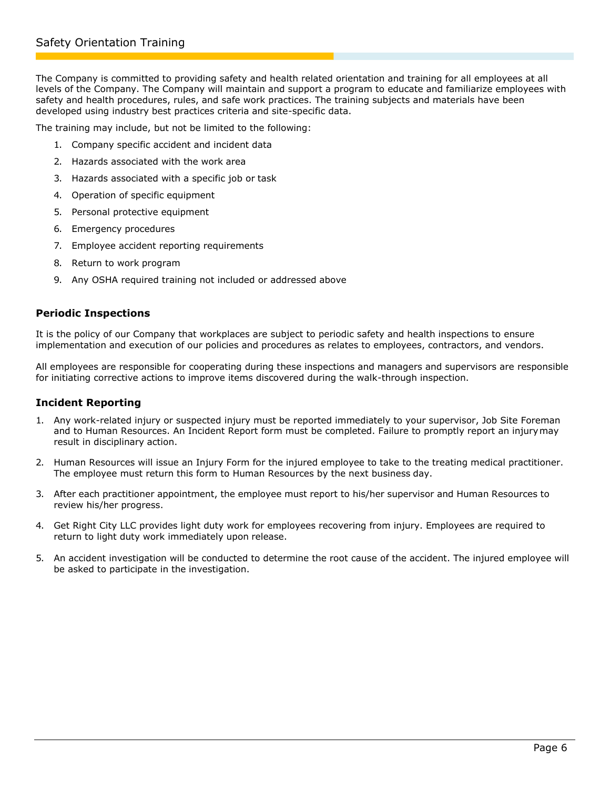The Company is committed to providing safety and health related orientation and training for all employees at all levels of the Company. The Company will maintain and support a program to educate and familiarize employees with safety and health procedures, rules, and safe work practices. The training subjects and materials have been developed using industry best practices criteria and site-specific data.

The training may include, but not be limited to the following:

- 1. Company specific accident and incident data
- 2. Hazards associated with the work area
- 3. Hazards associated with a specific job or task
- 4. Operation of specific equipment
- 5. Personal protective equipment
- 6. Emergency procedures
- 7. Employee accident reporting requirements
- 8. Return to work program
- 9. Any OSHA required training not included or addressed above

#### **Periodic Inspections**

It is the policy of our Company that workplaces are subject to periodic safety and health inspections to ensure implementation and execution of our policies and procedures as relates to employees, contractors, and vendors.

All employees are responsible for cooperating during these inspections and managers and supervisors are responsible for initiating corrective actions to improve items discovered during the walk-through inspection.

## **Incident Reporting**

- 1. Any work-related injury or suspected injury must be reported immediately to your supervisor, Job Site Foreman and to Human Resources. An Incident Report form must be completed. Failure to promptly report an injurymay result in disciplinary action.
- 2. Human Resources will issue an Injury Form for the injured employee to take to the treating medical practitioner. The employee must return this form to Human Resources by the next business day.
- 3. After each practitioner appointment, the employee must report to his/her supervisor and Human Resources to review his/her progress.
- 4. Get Right City LLC provides light duty work for employees recovering from injury. Employees are required to return to light duty work immediately upon release.
- 5. An accident investigation will be conducted to determine the root cause of the accident. The injured employee will be asked to participate in the investigation.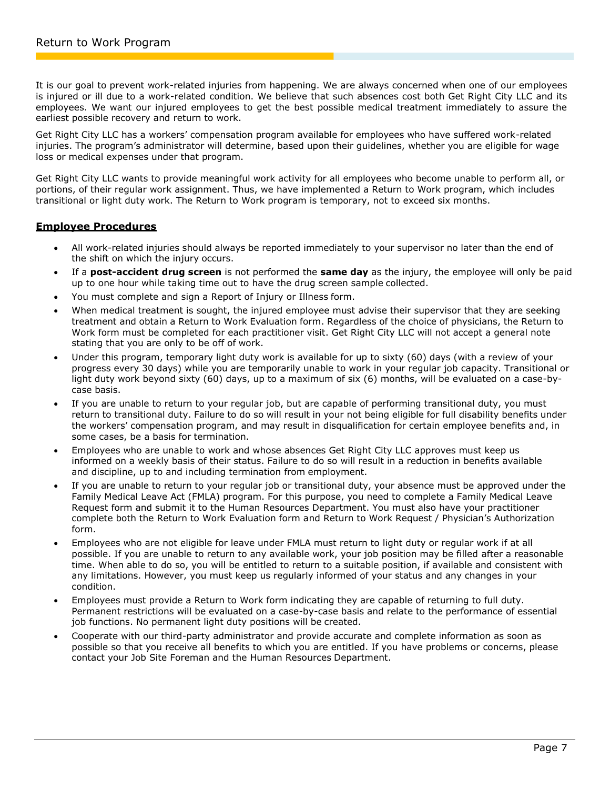It is our goal to prevent work-related injuries from happening. We are always concerned when one of our employees is injured or ill due to a work-related condition. We believe that such absences cost both Get Right City LLC and its employees. We want our injured employees to get the best possible medical treatment immediately to assure the earliest possible recovery and return to work.

Get Right City LLC has a workers' compensation program available for employees who have suffered work-related injuries. The program's administrator will determine, based upon their guidelines, whether you are eligible for wage loss or medical expenses under that program.

Get Right City LLC wants to provide meaningful work activity for all employees who become unable to perform all, or portions, of their regular work assignment. Thus, we have implemented a Return to Work program, which includes transitional or light duty work. The Return to Work program is temporary, not to exceed six months.

#### **Employee Procedures**

- All work-related injuries should always be reported immediately to your supervisor no later than the end of the shift on which the injury occurs.
- If a **post-accident drug screen** is not performed the **same day** as the injury, the employee will only be paid up to one hour while taking time out to have the drug screen sample collected.
- You must complete and sign a Report of Injury or Illness form.
- When medical treatment is sought, the injured employee must advise their supervisor that they are seeking treatment and obtain a Return to Work Evaluation form. Regardless of the choice of physicians, the Return to Work form must be completed for each practitioner visit. Get Right City LLC will not accept a general note stating that you are only to be off of work.
- Under this program, temporary light duty work is available for up to sixty (60) days (with a review of your progress every 30 days) while you are temporarily unable to work in your regular job capacity. Transitional or light duty work beyond sixty (60) days, up to a maximum of six (6) months, will be evaluated on a case-bycase basis.
- If you are unable to return to your regular job, but are capable of performing transitional duty, you must return to transitional duty. Failure to do so will result in your not being eligible for full disability benefits under the workers' compensation program, and may result in disqualification for certain employee benefits and, in some cases, be a basis for termination.
- Employees who are unable to work and whose absences Get Right City LLC approves must keep us informed on a weekly basis of their status. Failure to do so will result in a reduction in benefits available and discipline, up to and including termination from employment.
- If you are unable to return to your regular job or transitional duty, your absence must be approved under the Family Medical Leave Act (FMLA) program. For this purpose, you need to complete a Family Medical Leave Request form and submit it to the Human Resources Department. You must also have your practitioner complete both the Return to Work Evaluation form and Return to Work Request / Physician's Authorization form.
- Employees who are not eligible for leave under FMLA must return to light duty or regular work if at all possible. If you are unable to return to any available work, your job position may be filled after a reasonable time. When able to do so, you will be entitled to return to a suitable position, if available and consistent with any limitations. However, you must keep us regularly informed of your status and any changes in your condition.
- Employees must provide a Return to Work form indicating they are capable of returning to full duty. Permanent restrictions will be evaluated on a case-by-case basis and relate to the performance of essential job functions. No permanent light duty positions will be created.
- Cooperate with our third-party administrator and provide accurate and complete information as soon as possible so that you receive all benefits to which you are entitled. If you have problems or concerns, please contact your Job Site Foreman and the Human Resources Department.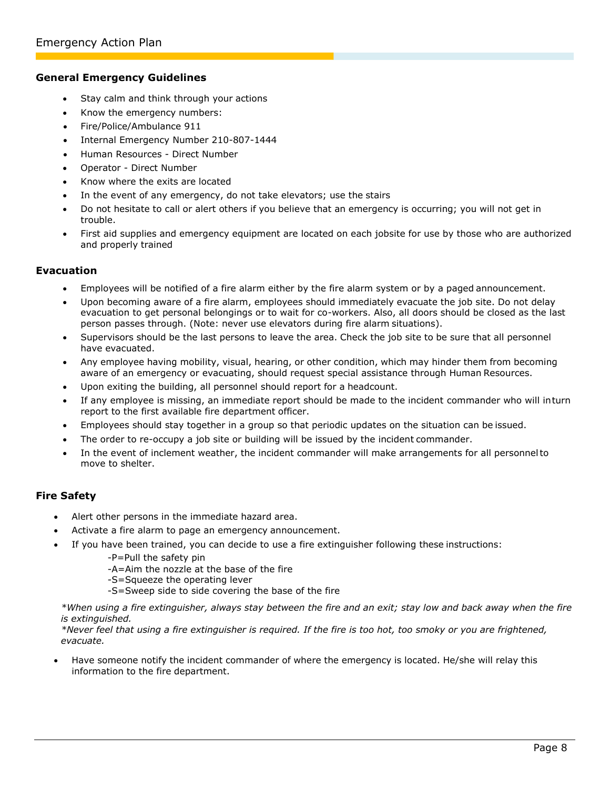#### **General Emergency Guidelines**

- Stay calm and think through your actions
- Know the emergency numbers:
- Fire/Police/Ambulance 911
- Internal Emergency Number 210-807-1444
- Human Resources Direct Number
- Operator Direct Number
- Know where the exits are located
- In the event of any emergency, do not take elevators; use the stairs
- Do not hesitate to call or alert others if you believe that an emergency is occurring; you will not get in trouble.
- First aid supplies and emergency equipment are located on each jobsite for use by those who are authorized and properly trained

## **Evacuation**

- Employees will be notified of a fire alarm either by the fire alarm system or by a paged announcement.
- Upon becoming aware of a fire alarm, employees should immediately evacuate the job site. Do not delay evacuation to get personal belongings or to wait for co-workers. Also, all doors should be closed as the last person passes through. (Note: never use elevators during fire alarm situations).
- Supervisors should be the last persons to leave the area. Check the job site to be sure that all personnel have evacuated.
- Any employee having mobility, visual, hearing, or other condition, which may hinder them from becoming aware of an emergency or evacuating, should request special assistance through Human Resources.
- Upon exiting the building, all personnel should report for a headcount.
- If any employee is missing, an immediate report should be made to the incident commander who will inturn report to the first available fire department officer.
- Employees should stay together in a group so that periodic updates on the situation can be issued.
- The order to re-occupy a job site or building will be issued by the incident commander.
- In the event of inclement weather, the incident commander will make arrangements for all personnelto move to shelter.

## **Fire Safety**

- Alert other persons in the immediate hazard area.
- Activate a fire alarm to page an emergency announcement.
- If you have been trained, you can decide to use a fire extinguisher following these instructions:
	- -P=Pull the safety pin
	- -A=Aim the nozzle at the base of the fire
	- -S=Squeeze the operating lever
	- -S=Sweep side to side covering the base of the fire

*\*When using a fire extinguisher, always stay between the fire and an exit; stay low and back away when the fire is extinguished.*

*\*Never feel that using a fire extinguisher is required. If the fire is too hot, too smoky or you are frightened, evacuate.*

• Have someone notify the incident commander of where the emergency is located. He/she will relay this information to the fire department.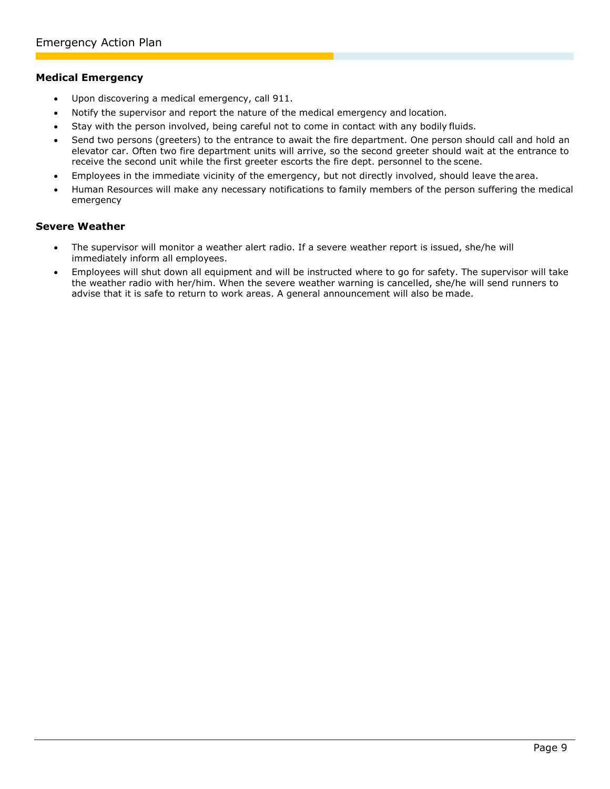## **Medical Emergency**

- Upon discovering a medical emergency, call 911.
- Notify the supervisor and report the nature of the medical emergency and location.
- Stay with the person involved, being careful not to come in contact with any bodily fluids.
- Send two persons (greeters) to the entrance to await the fire department. One person should call and hold an elevator car. Often two fire department units will arrive, so the second greeter should wait at the entrance to receive the second unit while the first greeter escorts the fire dept. personnel to the scene.
- Employees in the immediate vicinity of the emergency, but not directly involved, should leave the area.
- Human Resources will make any necessary notifications to family members of the person suffering the medical emergency

#### **Severe Weather**

- The supervisor will monitor a weather alert radio. If a severe weather report is issued, she/he will immediately inform all employees.
- Employees will shut down all equipment and will be instructed where to go for safety. The supervisor will take the weather radio with her/him. When the severe weather warning is cancelled, she/he will send runners to advise that it is safe to return to work areas. A general announcement will also be made.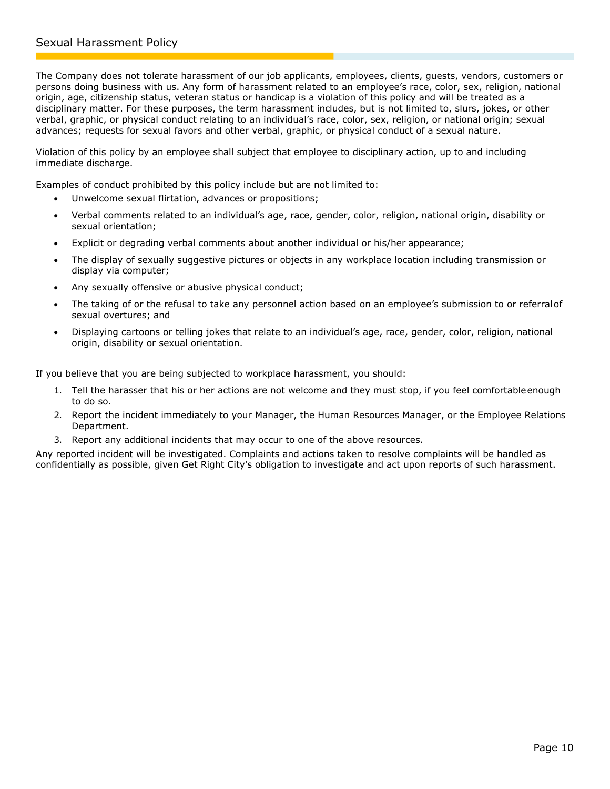<span id="page-9-0"></span>The Company does not tolerate harassment of our job applicants, employees, clients, guests, vendors, customers or persons doing business with us. Any form of harassment related to an employee's race, color, sex, religion, national origin, age, citizenship status, veteran status or handicap is a violation of this policy and will be treated as a disciplinary matter. For these purposes, the term harassment includes, but is not limited to, slurs, jokes, or other verbal, graphic, or physical conduct relating to an individual's race, color, sex, religion, or national origin; sexual advances; requests for sexual favors and other verbal, graphic, or physical conduct of a sexual nature.

Violation of this policy by an employee shall subject that employee to disciplinary action, up to and including immediate discharge.

Examples of conduct prohibited by this policy include but are not limited to:

- Unwelcome sexual flirtation, advances or propositions;
- Verbal comments related to an individual's age, race, gender, color, religion, national origin, disability or sexual orientation;
- Explicit or degrading verbal comments about another individual or his/her appearance;
- The display of sexually suggestive pictures or objects in any workplace location including transmission or display via computer;
- Any sexually offensive or abusive physical conduct;
- The taking of or the refusal to take any personnel action based on an employee's submission to or referralof sexual overtures; and
- Displaying cartoons or telling jokes that relate to an individual's age, race, gender, color, religion, national origin, disability or sexual orientation.

If you believe that you are being subjected to workplace harassment, you should:

- 1. Tell the harasser that his or her actions are not welcome and they must stop, if you feel comfortableenough to do so.
- 2. Report the incident immediately to your Manager, the Human Resources Manager, or the Employee Relations Department.
- 3. Report any additional incidents that may occur to one of the above resources.

Any reported incident will be investigated. Complaints and actions taken to resolve complaints will be handled as confidentially as possible, given Get Right City's obligation to investigate and act upon reports of such harassment.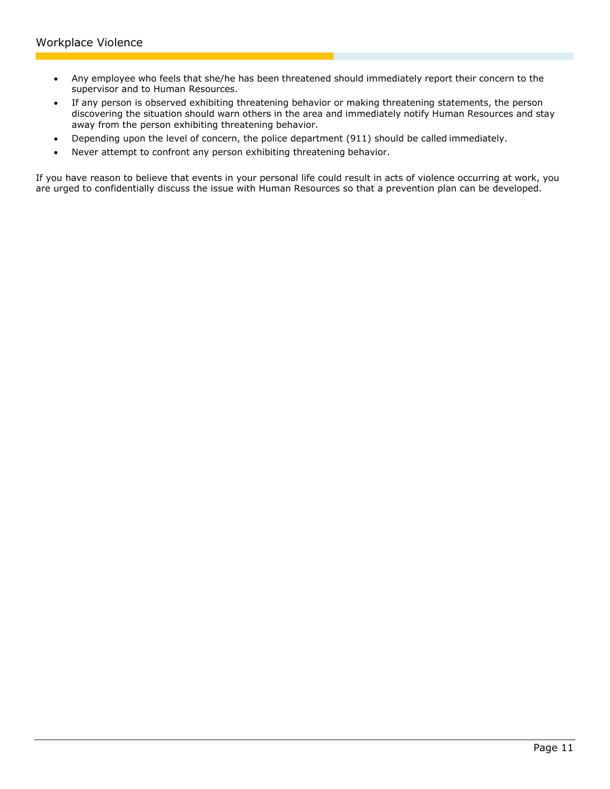- Any employee who feels that she/he has been threatened should immediately report their concern to the supervisor and to Human Resources.
- If any person is observed exhibiting threatening behavior or making threatening statements, the person discovering the situation should warn others in the area and immediately notify Human Resources and stay away from the person exhibiting threatening behavior.
- Depending upon the level of concern, the police department (911) should be called immediately.
- Never attempt to confront any person exhibiting threatening behavior.

If you have reason to believe that events in your personal life could result in acts of violence occurring at work, you are urged to confidentially discuss the issue with Human Resources so that a prevention plan can be developed.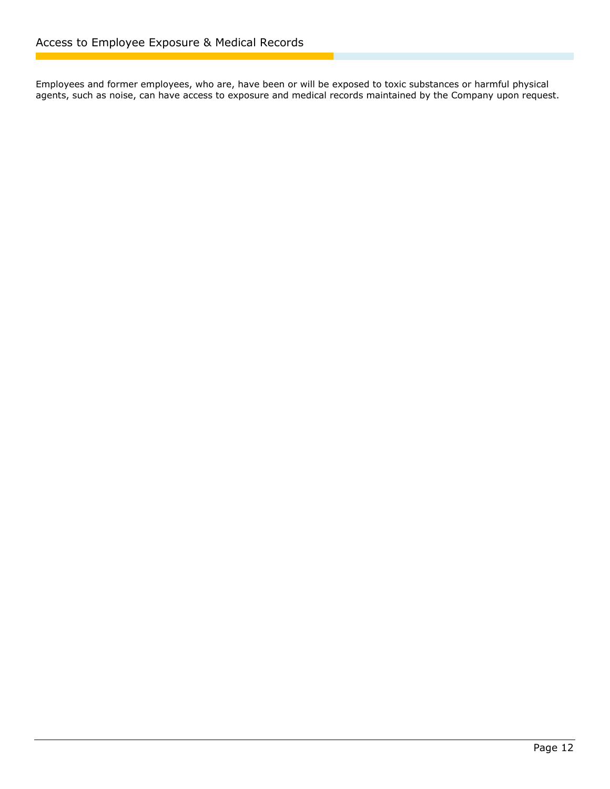Employees and former employees, who are, have been or will be exposed to toxic substances or harmful physical agents, such as noise, can have access to exposure and medical records maintained by the Company upon request.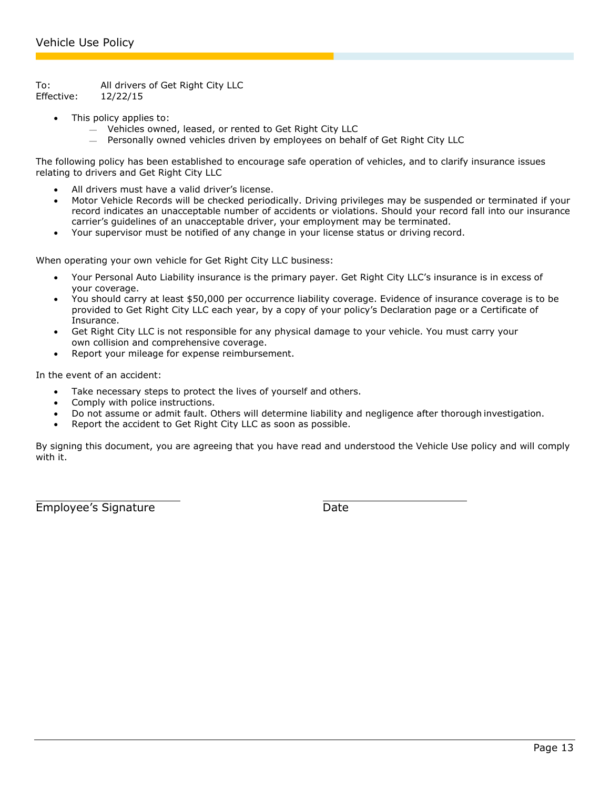To: Effective: All drivers of Get Right City LLC 12/22/15

- This policy applies to:
	- Vehicles owned, leased, or rented to Get Right City LLC
	- Personally owned vehicles driven by employees on behalf of Get Right City LLC

The following policy has been established to encourage safe operation of vehicles, and to clarify insurance issues relating to drivers and Get Right City LLC

- All drivers must have a valid driver's license.
- Motor Vehicle Records will be checked periodically. Driving privileges may be suspended or terminated if your record indicates an unacceptable number of accidents or violations. Should your record fall into our insurance carrier's guidelines of an unacceptable driver, your employment may be terminated.
- Your supervisor must be notified of any change in your license status or driving record.

When operating your own vehicle for Get Right City LLC business:

- Your Personal Auto Liability insurance is the primary payer. Get Right City LLC's insurance is in excess of your coverage.
- You should carry at least \$50,000 per occurrence liability coverage. Evidence of insurance coverage is to be provided to Get Right City LLC each year, by a copy of your policy's Declaration page or a Certificate of Insurance.
- Get Right City LLC is not responsible for any physical damage to your vehicle. You must carry your own collision and comprehensive coverage.
- Report your mileage for expense reimbursement.

In the event of an accident:

- Take necessary steps to protect the lives of yourself and others.
- Comply with police instructions.
- Do not assume or admit fault. Others will determine liability and negligence after thorough investigation.
- Report the accident to Get Right City LLC as soon as possible.

By signing this document, you are agreeing that you have read and understood the Vehicle Use policy and will comply with it.

Employee's Signature Date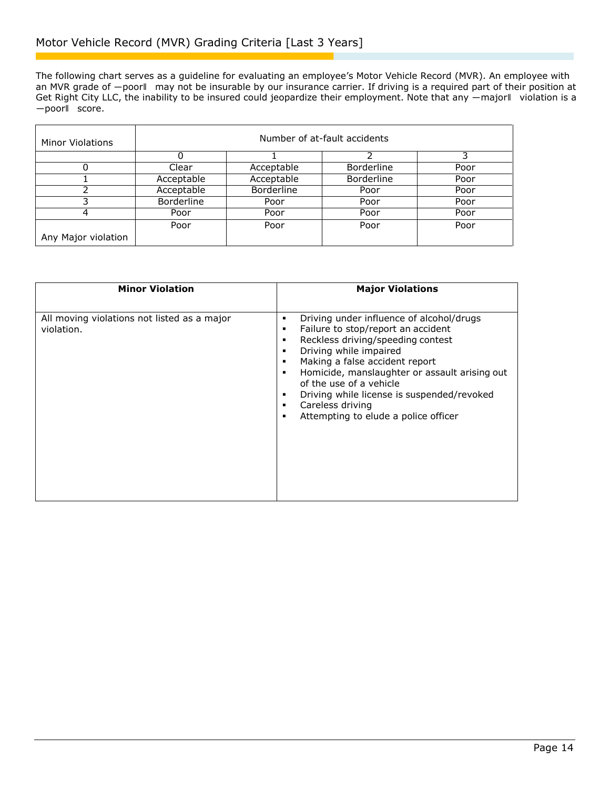The following chart serves as a guideline for evaluating an employee's Motor Vehicle Record (MVR). An employee with an MVR grade of ―poor‖ may not be insurable by our insurance carrier. If driving is a required part of their position at Get Right City LLC, the inability to be insured could jeopardize their employment. Note that any ―major‖ violation is a ―poor‖ score.

| <b>Minor Violations</b> | Number of at-fault accidents |                   |                   |      |
|-------------------------|------------------------------|-------------------|-------------------|------|
|                         |                              |                   |                   |      |
|                         | Clear                        | Acceptable        | <b>Borderline</b> | Poor |
|                         | Acceptable                   | Acceptable        | <b>Borderline</b> | Poor |
|                         | Acceptable                   | <b>Borderline</b> | Poor              | Poor |
|                         | <b>Borderline</b>            | Poor              | Poor              | Poor |
| 4                       | Poor                         | Poor              | Poor              | Poor |
|                         | Poor                         | Poor              | Poor              | Poor |
| Any Major violation     |                              |                   |                   |      |

| <b>Minor Violation</b>                                    | <b>Major Violations</b>                                                                                                                                                                                                                                                                                                                                                                                                                              |
|-----------------------------------------------------------|------------------------------------------------------------------------------------------------------------------------------------------------------------------------------------------------------------------------------------------------------------------------------------------------------------------------------------------------------------------------------------------------------------------------------------------------------|
| All moving violations not listed as a major<br>violation. | Driving under influence of alcohol/drugs<br>٠<br>Failure to stop/report an accident<br>٠<br>Reckless driving/speeding contest<br>$\blacksquare$<br>Driving while impaired<br>п<br>Making a false accident report<br>٠<br>Homicide, manslaughter or assault arising out<br>of the use of a vehicle<br>Driving while license is suspended/revoked<br>$\blacksquare$<br>Careless driving<br>$\blacksquare$<br>Attempting to elude a police officer<br>п |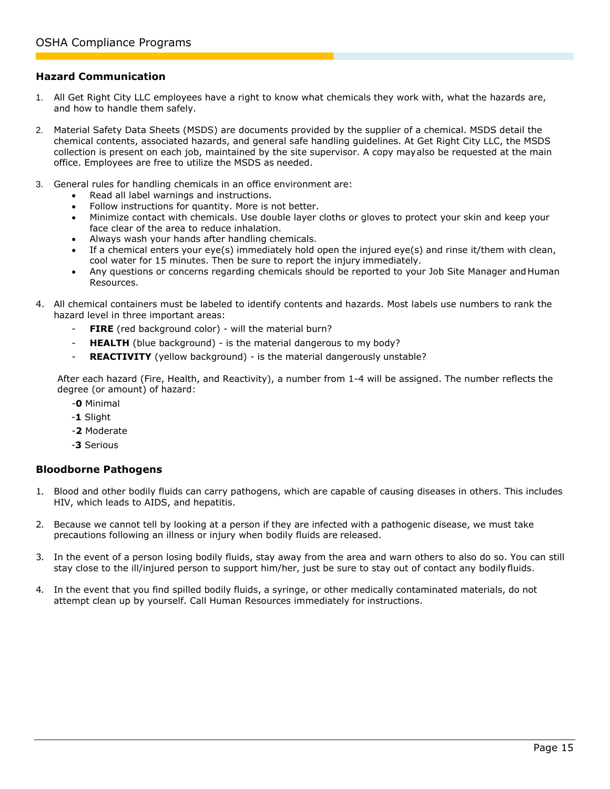# **Hazard Communication**

- 1. All Get Right City LLC employees have a right to know what chemicals they work with, what the hazards are, and how to handle them safely.
- 2. Material Safety Data Sheets (MSDS) are documents provided by the supplier of a chemical. MSDS detail the chemical contents, associated hazards, and general safe handling guidelines. At Get Right City LLC, the MSDS collection is present on each job, maintained by the site supervisor. A copy mayalso be requested at the main office. Employees are free to utilize the MSDS as needed.
- 3. General rules for handling chemicals in an office environment are:
	- Read all label warnings and instructions.
	- Follow instructions for quantity. More is not better.
	- Minimize contact with chemicals. Use double layer cloths or gloves to protect your skin and keep your face clear of the area to reduce inhalation.
	- Always wash your hands after handling chemicals.
	- If a chemical enters your eye(s) immediately hold open the injured eye(s) and rinse it/them with clean, cool water for 15 minutes. Then be sure to report the injury immediately.
	- Any questions or concerns regarding chemicals should be reported to your Job Site Manager and Human Resources.
- 4. All chemical containers must be labeled to identify contents and hazards. Most labels use numbers to rank the hazard level in three important areas:
	- FIRE (red background color) will the material burn?
	- **HEALTH** (blue background) is the material dangerous to my body?
	- REACTIVITY (yellow background) is the material dangerously unstable?

After each hazard (Fire, Health, and Reactivity), a number from 1-4 will be assigned. The number reflects the degree (or amount) of hazard:

- -**0** Minimal
- -**1** Slight
- -**2** Moderate
- -**3** Serious

#### **Bloodborne Pathogens**

- 1. Blood and other bodily fluids can carry pathogens, which are capable of causing diseases in others. This includes HIV, which leads to AIDS, and hepatitis.
- 2. Because we cannot tell by looking at a person if they are infected with a pathogenic disease, we must take precautions following an illness or injury when bodily fluids are released.
- 3. In the event of a person losing bodily fluids, stay away from the area and warn others to also do so. You can still stay close to the ill/injured person to support him/her, just be sure to stay out of contact any bodily fluids.
- 4. In the event that you find spilled bodily fluids, a syringe, or other medically contaminated materials, do not attempt clean up by yourself. Call Human Resources immediately for instructions.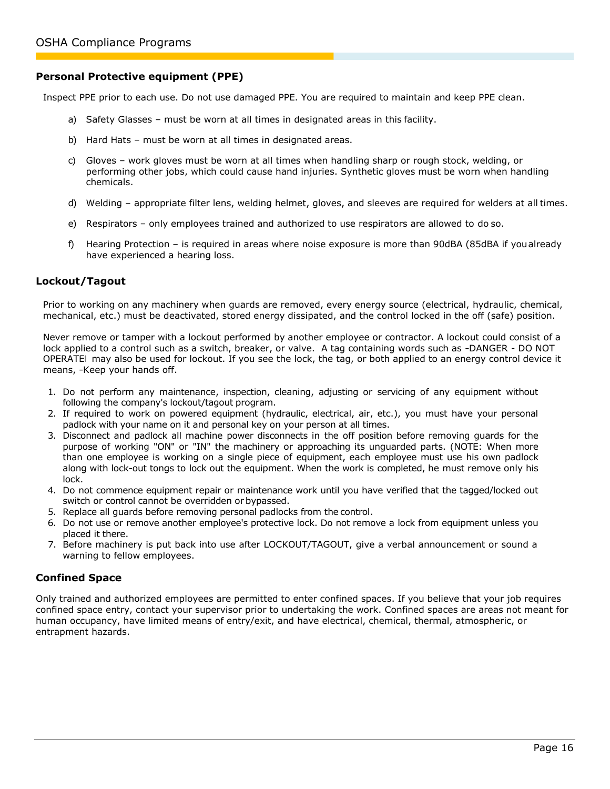## **Personal Protective equipment (PPE)**

Inspect PPE prior to each use. Do not use damaged PPE. You are required to maintain and keep PPE clean.

- a) Safety Glasses must be worn at all times in designated areas in this facility.
- b) Hard Hats must be worn at all times in designated areas.
- c) Gloves work gloves must be worn at all times when handling sharp or rough stock, welding, or performing other jobs, which could cause hand injuries. Synthetic gloves must be worn when handling chemicals.
- d) Welding appropriate filter lens, welding helmet, gloves, and sleeves are required for welders at all times.
- e) Respirators only employees trained and authorized to use respirators are allowed to do so.
- f) Hearing Protection is required in areas where noise exposure is more than 90dBA (85dBA if youalready have experienced a hearing loss.

## **Lockout/Tagout**

Prior to working on any machinery when guards are removed, every energy source (electrical, hydraulic, chemical, mechanical, etc.) must be deactivated, stored energy dissipated, and the control locked in the off (safe) position.

Never remove or tamper with a lockout performed by another employee or contractor. A lockout could consist of a lock applied to a control such as a switch, breaker, or valve. A tag containing words such as -DANGER - DO NOT OPERATE‖ may also be used for lockout. If you see the lock, the tag, or both applied to an energy control device it means, ―Keep your hands off.

- 1. Do not perform any maintenance, inspection, cleaning, adjusting or servicing of any equipment without following the company's lockout/tagout program.
- 2. If required to work on powered equipment (hydraulic, electrical, air, etc.), you must have your personal padlock with your name on it and personal key on your person at all times.
- 3. Disconnect and padlock all machine power disconnects in the off position before removing guards for the purpose of working "ON" or "IN" the machinery or approaching its unguarded parts. (NOTE: When more than one employee is working on a single piece of equipment, each employee must use his own padlock along with lock-out tongs to lock out the equipment. When the work is completed, he must remove only his lock.
- 4. Do not commence equipment repair or maintenance work until you have verified that the tagged/locked out switch or control cannot be overridden or bypassed.
- 5. Replace all guards before removing personal padlocks from the control.
- 6. Do not use or remove another employee's protective lock. Do not remove a lock from equipment unless you placed it there.
- 7. Before machinery is put back into use after LOCKOUT/TAGOUT, give a verbal announcement or sound a warning to fellow employees.

## **Confined Space**

Only trained and authorized employees are permitted to enter confined spaces. If you believe that your job requires confined space entry, contact your supervisor prior to undertaking the work. Confined spaces are areas not meant for human occupancy, have limited means of entry/exit, and have electrical, chemical, thermal, atmospheric, or entrapment hazards.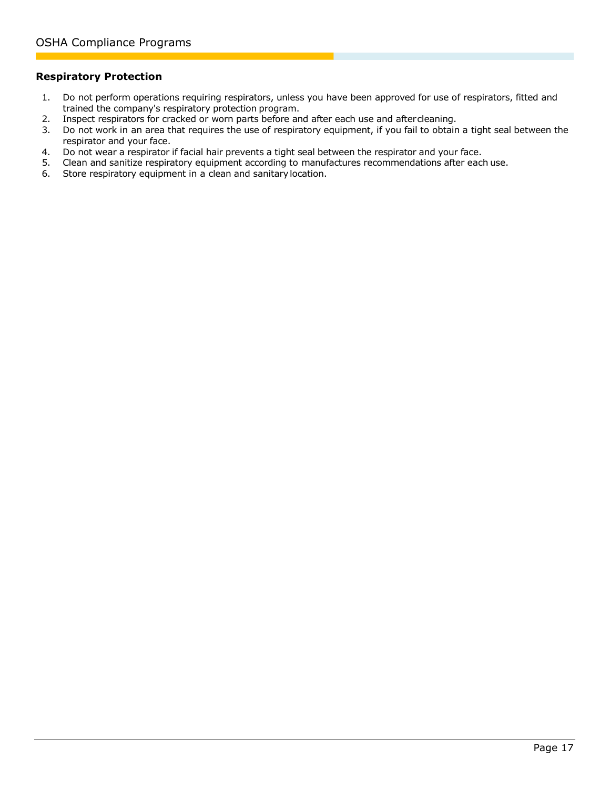# **Respiratory Protection**

- 1. Do not perform operations requiring respirators, unless you have been approved for use of respirators, fitted and trained the company's respiratory protection program.
- 2. Inspect respirators for cracked or worn parts before and after each use and aftercleaning.
- 3. Do not work in an area that requires the use of respiratory equipment, if you fail to obtain a tight seal between the respirator and your face.
- 4. Do not wear a respirator if facial hair prevents a tight seal between the respirator and your face.
- 5. Clean and sanitize respiratory equipment according to manufactures recommendations after each use.
- 6. Store respiratory equipment in a clean and sanitarylocation.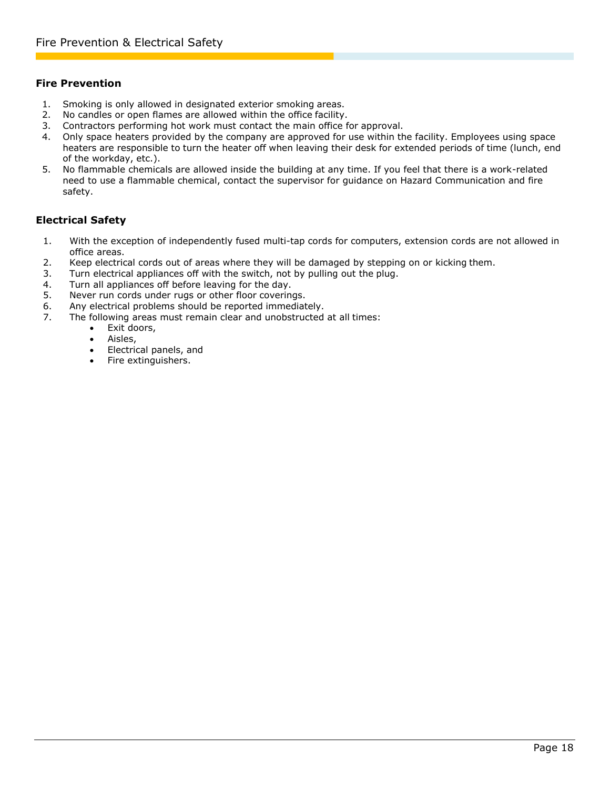## **Fire Prevention**

- 1. Smoking is only allowed in designated exterior smoking areas.
- 2. No candles or open flames are allowed within the office facility.
- 3. Contractors performing hot work must contact the main office for approval.
- 4. Only space heaters provided by the company are approved for use within the facility. Employees using space heaters are responsible to turn the heater off when leaving their desk for extended periods of time (lunch, end of the workday, etc.).
- 5. No flammable chemicals are allowed inside the building at any time. If you feel that there is a work-related need to use a flammable chemical, contact the supervisor for guidance on Hazard Communication and fire safety.

# **Electrical Safety**

- 1. With the exception of independently fused multi-tap cords for computers, extension cords are not allowed in office areas.
- 2. Keep electrical cords out of areas where they will be damaged by stepping on or kicking them.
- 3. Turn electrical appliances off with the switch, not by pulling out the plug.
- 4. Turn all appliances off before leaving for the day.
- 5. Never run cords under rugs or other floor coverings.
- 6. Any electrical problems should be reported immediately.
- 7. The following areas must remain clear and unobstructed at all times:
	- Exit doors,
	- Aisles,
	- Electrical panels, and
	- Fire extinguishers.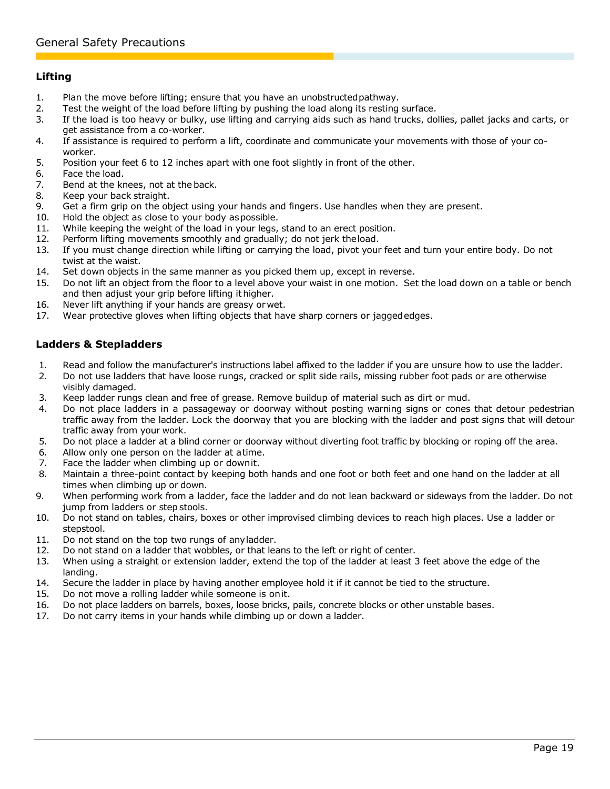# **Lifting**

- 1. Plan the move before lifting; ensure that you have an unobstructedpathway.
- 2. Test the weight of the load before lifting by pushing the load along its resting surface.
- 3. If the load is too heavy or bulky, use lifting and carrying aids such as hand trucks, dollies, pallet jacks and carts, or get assistance from a co-worker.
- 4. If assistance is required to perform a lift, coordinate and communicate your movements with those of your coworker.
- 5. Position your feet 6 to 12 inches apart with one foot slightly in front of the other.
- 6. Face the load.
- 7. Bend at the knees, not at the back.
- 8. Keep your back straight.
- 9. Get a firm grip on the object using your hands and fingers. Use handles when they are present.
- 10. Hold the object as close to your body aspossible.
- 11. While keeping the weight of the load in your legs, stand to an erect position.
- 12. Perform lifting movements smoothly and gradually; do not jerk theload.
- 13. If you must change direction while lifting or carrying the load, pivot your feet and turn your entire body. Do not twist at the waist.
- 14. Set down objects in the same manner as you picked them up, except in reverse.
- 15. Do not lift an object from the floor to a level above your waist in one motion. Set the load down on a table or bench and then adjust your grip before lifting ithigher.
- 16. Never lift anything if your hands are greasy orwet.
- 17. Wear protective gloves when lifting objects that have sharp corners or jaggededges.

# **Ladders & Stepladders**

- 1. Read and follow the manufacturer's instructions label affixed to the ladder if you are unsure how to use the ladder.
- 2. Do not use ladders that have loose rungs, cracked or split side rails, missing rubber foot pads or are otherwise visibly damaged.
- 3. Keep ladder rungs clean and free of grease. Remove buildup of material such as dirt or mud.
- 4. Do not place ladders in a passageway or doorway without posting warning signs or cones that detour pedestrian traffic away from the ladder. Lock the doorway that you are blocking with the ladder and post signs that will detour traffic away from your work.
- 5. Do not place a ladder at a blind corner or doorway without diverting foot traffic by blocking or roping off the area.
- 6. Allow only one person on the ladder at atime.
- 7. Face the ladder when climbing up or downit.
- 8. Maintain a three-point contact by keeping both hands and one foot or both feet and one hand on the ladder at all times when climbing up or down.
- 9. When performing work from a ladder, face the ladder and do not lean backward or sideways from the ladder. Do not jump from ladders or step stools.
- 10. Do not stand on tables, chairs, boxes or other improvised climbing devices to reach high places. Use a ladder or stepstool.
- 11. Do not stand on the top two rungs of anyladder.
- 12. Do not stand on a ladder that wobbles, or that leans to the left or right of center.
- 13. When using a straight or extension ladder, extend the top of the ladder at least 3 feet above the edge of the landing.
- 14. Secure the ladder in place by having another employee hold it if it cannot be tied to the structure.
- 15. Do not move a rolling ladder while someone is onit.
- 16. Do not place ladders on barrels, boxes, loose bricks, pails, concrete blocks or other unstable bases.
- 17. Do not carry items in your hands while climbing up or down a ladder.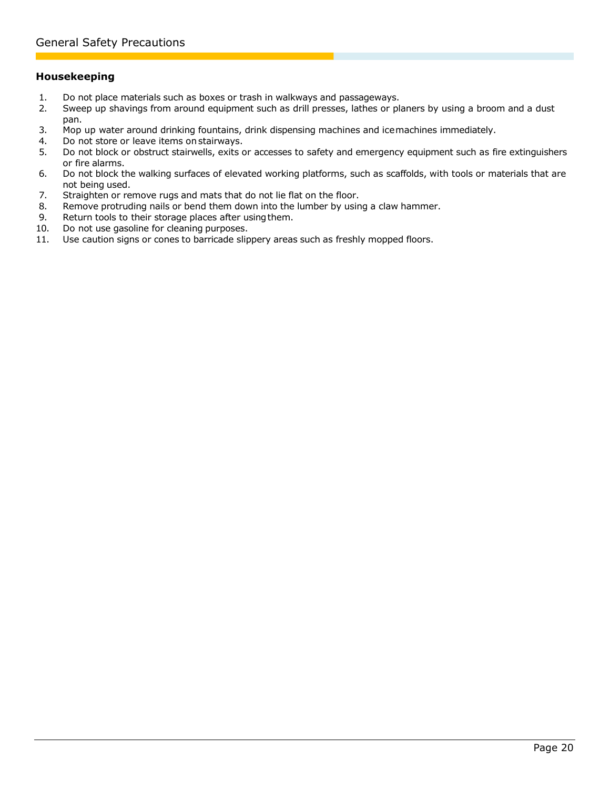# **Housekeeping**

- 1. Do not place materials such as boxes or trash in walkways and passageways.
- 2. Sweep up shavings from around equipment such as drill presses, lathes or planers by using a broom and a dust pan.
- 3. Mop up water around drinking fountains, drink dispensing machines and icemachines immediately.
- 4. Do not store or leave items onstairways.
- 5. Do not block or obstruct stairwells, exits or accesses to safety and emergency equipment such as fire extinguishers or fire alarms.
- 6. Do not block the walking surfaces of elevated working platforms, such as scaffolds, with tools or materials that are not being used.
- 7. Straighten or remove rugs and mats that do not lie flat on the floor.
- 8. Remove protruding nails or bend them down into the lumber by using a claw hammer.
- 9. Return tools to their storage places after using them.
- 10. Do not use gasoline for cleaning purposes.
- 11. Use caution signs or cones to barricade slippery areas such as freshly mopped floors.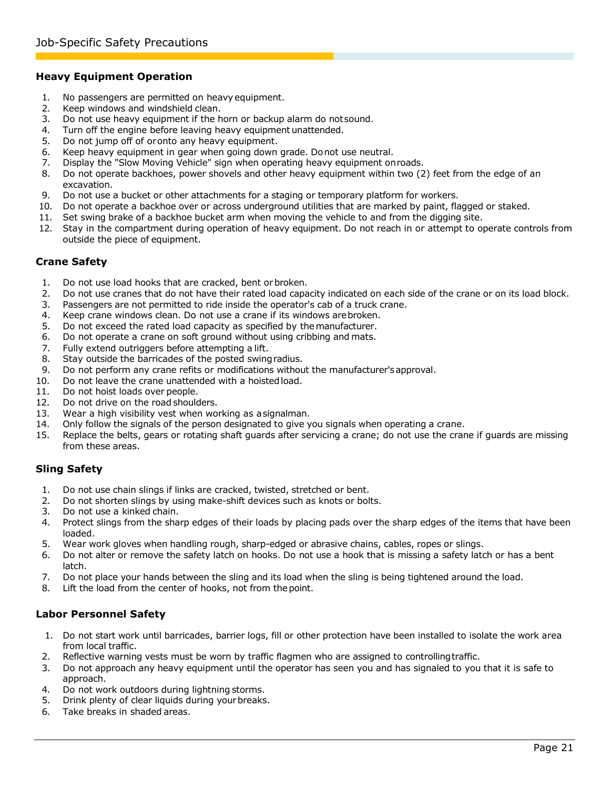## **Heavy Equipment Operation**

- 1. No passengers are permitted on heavy equipment.
- 2. Keep windows and windshield clean.
- 3. Do not use heavy equipment if the horn or backup alarm do notsound.
- 4. Turn off the engine before leaving heavy equipment unattended.
- 5. Do not jump off of oronto any heavy equipment.
- 6. Keep heavy equipment in gear when going down grade. Donot use neutral.
- 7. Display the "Slow Moving Vehicle" sign when operating heavy equipment onroads.
- 8. Do not operate backhoes, power shovels and other heavy equipment within two (2) feet from the edge of an excavation.
- 9. Do not use a bucket or other attachments for a staging or temporary platform for workers.
- 10. Do not operate a backhoe over or across underground utilities that are marked by paint, flagged or staked.
- 11. Set swing brake of a backhoe bucket arm when moving the vehicle to and from the digging site.
- 12. Stay in the compartment during operation of heavy equipment. Do not reach in or attempt to operate controls from outside the piece of equipment.

#### **Crane Safety**

- 1. Do not use load hooks that are cracked, bent orbroken.
- 2. Do not use cranes that do not have their rated load capacity indicated on each side of the crane or on its load block.
- 3. Passengers are not permitted to ride inside the operator's cab of a truck crane.
- 4. Keep crane windows clean. Do not use a crane if its windows arebroken.
- 5. Do not exceed the rated load capacity as specified by themanufacturer.
- 6. Do not operate a crane on soft ground without using cribbing and mats.
- 7. Fully extend outriggers before attempting a lift.
- 8. Stay outside the barricades of the posted swingradius.
- 9. Do not perform any crane refits or modifications without the manufacturer'sapproval.
- 10. Do not leave the crane unattended with a hoistedload.
- 11. Do not hoist loads over people.
- 12. Do not drive on the road shoulders.
- 13. Wear a high visibility vest when working as asignalman.
- 14. Only follow the signals of the person designated to give you signals when operating a crane.
- 15. Replace the belts, gears or rotating shaft guards after servicing a crane; do not use the crane if guards are missing from these areas.

## **Sling Safety**

- 1. Do not use chain slings if links are cracked, twisted, stretched or bent.
- 2. Do not shorten slings by using make-shift devices such as knots or bolts.
- 3. Do not use a kinked chain.
- 4. Protect slings from the sharp edges of their loads by placing pads over the sharp edges of the items that have been loaded.
- 5. Wear work gloves when handling rough, sharp-edged or abrasive chains, cables, ropes or slings.
- 6. Do not alter or remove the safety latch on hooks. Do not use a hook that is missing a safety latch or has a bent latch.
- 7. Do not place your hands between the sling and its load when the sling is being tightened around the load.
- 8. Lift the load from the center of hooks, not from the point.

## **Labor Personnel Safety**

- 1. Do not start work until barricades, barrier logs, fill or other protection have been installed to isolate the work area from local traffic.
- 2. Reflective warning vests must be worn by traffic flagmen who are assigned to controllingtraffic.
- 3. Do not approach any heavy equipment until the operator has seen you and has signaled to you that it is safe to approach.
- 4. Do not work outdoors during lightning storms.
- 5. Drink plenty of clear liquids during yourbreaks.
- 6. Take breaks in shaded areas.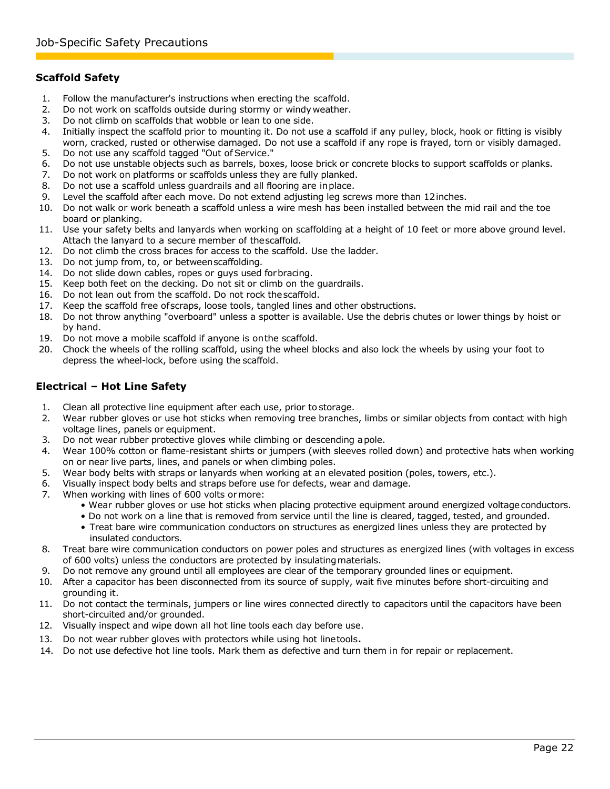## **Scaffold Safety**

- 1. Follow the manufacturer's instructions when erecting the scaffold.
- 2. Do not work on scaffolds outside during stormy or windy weather.
- 3. Do not climb on scaffolds that wobble or lean to one side.
- 4. Initially inspect the scaffold prior to mounting it. Do not use a scaffold if any pulley, block, hook or fitting is visibly worn, cracked, rusted or otherwise damaged. Do not use a scaffold if any rope is frayed, torn or visibly damaged.
- 5. Do not use any scaffold tagged "Out of Service."
- 6. Do not use unstable objects such as barrels, boxes, loose brick or concrete blocks to support scaffolds or planks.
- 7. Do not work on platforms or scaffolds unless they are fully planked.
- 8. Do not use a scaffold unless guardrails and all flooring are inplace.
- 9. Level the scaffold after each move. Do not extend adjusting leg screws more than 12inches.
- 10. Do not walk or work beneath a scaffold unless a wire mesh has been installed between the mid rail and the toe board or planking.
- 11. Use your safety belts and lanyards when working on scaffolding at a height of 10 feet or more above ground level. Attach the lanyard to a secure member of thescaffold.
- 12. Do not climb the cross braces for access to the scaffold. Use the ladder.
- 13. Do not jump from, to, or betweenscaffolding.
- 14. Do not slide down cables, ropes or guys used forbracing.
- 15. Keep both feet on the decking. Do not sit or climb on the guardrails.
- 16. Do not lean out from the scaffold. Do not rock thescaffold.
- 17. Keep the scaffold free ofscraps, loose tools, tangled lines and other obstructions.
- 18. Do not throw anything "overboard" unless a spotter is available. Use the debris chutes or lower things by hoist or by hand.
- 19. Do not move a mobile scaffold if anyone is onthe scaffold.
- 20. Chock the wheels of the rolling scaffold, using the wheel blocks and also lock the wheels by using your foot to depress the wheel-lock, before using the scaffold.

# **Electrical – Hot Line Safety**

- 1. Clean all protective line equipment after each use, prior to storage.
- 2. Wear rubber gloves or use hot sticks when removing tree branches, limbs or similar objects from contact with high voltage lines, panels or equipment.
- 3. Do not wear rubber protective gloves while climbing or descending apole.
- 4. Wear 100% cotton or flame-resistant shirts or jumpers (with sleeves rolled down) and protective hats when working on or near live parts, lines, and panels or when climbing poles.
- 5. Wear body belts with straps or lanyards when working at an elevated position (poles, towers, etc.).
- 6. Visually inspect body belts and straps before use for defects, wear and damage.
- 7. When working with lines of 600 volts ormore:
	- Wear rubber gloves or use hot sticks when placing protective equipment around energized voltage conductors.
	- Do not work on a line that is removed from service until the line is cleared, tagged, tested, and grounded.
	- Treat bare wire communication conductors on structures as energized lines unless they are protected by insulated conductors.
- 8. Treat bare wire communication conductors on power poles and structures as energized lines (with voltages in excess of 600 volts) unless the conductors are protected by insulatingmaterials.
- 9. Do not remove any ground until all employees are clear of the temporary grounded lines or equipment.
- 10. After a capacitor has been disconnected from its source of supply, wait five minutes before short-circuiting and grounding it.
- 11. Do not contact the terminals, jumpers or line wires connected directly to capacitors until the capacitors have been short-circuited and/or grounded.
- 12. Visually inspect and wipe down all hot line tools each day before use.
- 13. Do not wear rubber gloves with protectors while using hot linetools.
- 14. Do not use defective hot line tools. Mark them as defective and turn them in for repair or replacement.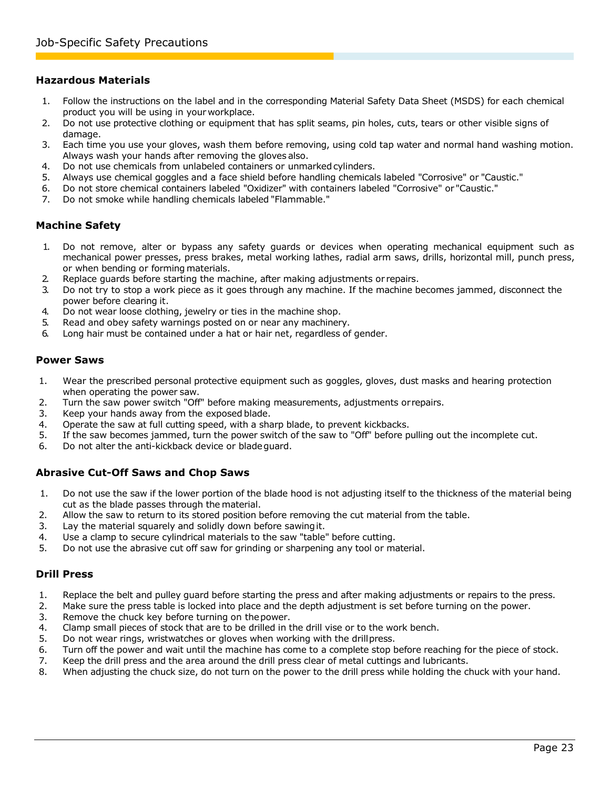## **Hazardous Materials**

- 1. Follow the instructions on the label and in the corresponding Material Safety Data Sheet (MSDS) for each chemical product you will be using in your workplace.
- 2. Do not use protective clothing or equipment that has split seams, pin holes, cuts, tears or other visible signs of damage.
- 3. Each time you use your gloves, wash them before removing, using cold tap water and normal hand washing motion. Always wash your hands after removing the gloves also.
- 4. Do not use chemicals from unlabeled containers or unmarkedcylinders.
- 5. Always use chemical goggles and a face shield before handling chemicals labeled "Corrosive" or "Caustic."
- 6. Do not store chemical containers labeled "Oxidizer" with containers labeled "Corrosive" or "Caustic."
- 7. Do not smoke while handling chemicals labeled "Flammable."

## **Machine Safety**

- 1. Do not remove, alter or bypass any safety guards or devices when operating mechanical equipment such as mechanical power presses, press brakes, metal working lathes, radial arm saws, drills, horizontal mill, punch press, or when bending or forming materials.
- 2. Replace guards before starting the machine, after making adjustments or repairs.
- 3. Do not try to stop a work piece as it goes through any machine. If the machine becomes jammed, disconnect the power before clearing it.
- 4. Do not wear loose clothing, jewelry or ties in the machine shop.
- 5. Read and obey safety warnings posted on or near any machinery.
- 6. Long hair must be contained under a hat or hair net, regardless of gender.

#### **Power Saws**

- 1. Wear the prescribed personal protective equipment such as goggles, gloves, dust masks and hearing protection when operating the power saw.
- 2. Turn the saw power switch "Off" before making measurements, adjustments orrepairs.
- 3. Keep your hands away from the exposed blade.
- 4. Operate the saw at full cutting speed, with a sharp blade, to prevent kickbacks.
- 5. If the saw becomes jammed, turn the power switch of the saw to "Off" before pulling out the incomplete cut.
- 6. Do not alter the anti-kickback device or bladeguard.

#### **Abrasive Cut-Off Saws and Chop Saws**

- 1. Do not use the saw if the lower portion of the blade hood is not adjusting itself to the thickness of the material being cut as the blade passes through the material.
- 2. Allow the saw to return to its stored position before removing the cut material from the table.
- 3. Lay the material squarely and solidly down before sawingit.
- 4. Use a clamp to secure cylindrical materials to the saw "table" before cutting.
- 5. Do not use the abrasive cut off saw for grinding or sharpening any tool or material.

#### **Drill Press**

- 1. Replace the belt and pulley guard before starting the press and after making adjustments or repairs to the press.
- 2. Make sure the press table is locked into place and the depth adjustment is set before turning on the power.
- 3. Remove the chuck key before turning on thepower.
- 4. Clamp small pieces of stock that are to be drilled in the drill vise or to the work bench.
- 5. Do not wear rings, wristwatches or gloves when working with the drillpress.
- 6. Turn off the power and wait until the machine has come to a complete stop before reaching for the piece of stock.
- 7. Keep the drill press and the area around the drill press clear of metal cuttings and lubricants.
- 8. When adjusting the chuck size, do not turn on the power to the drill press while holding the chuck with your hand.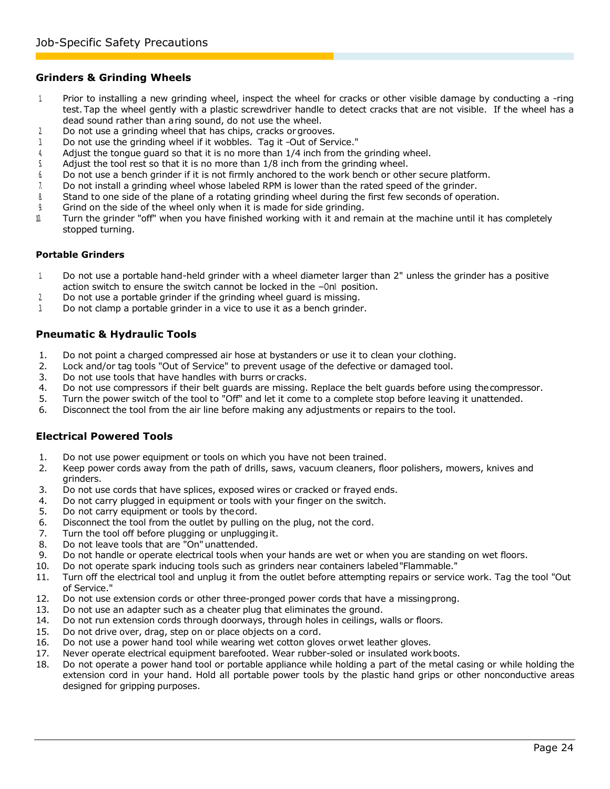## **Grinders & Grinding Wheels**

- 1 Prior to installing a new grinding wheel, inspect the wheel for cracks or other visible damage by conducting a -ring test.Tap the wheel gently with a plastic screwdriver handle to detect cracks that are not visible. If the wheel has a dead sound rather than aring sound, do not use the wheel.
- 2. Do not use a grinding wheel that has chips, cracks orgrooves.
- 3 Do not use the grinding wheel if it wobbles. Tag it -Out of Service."
- 4 Adjust the tongue guard so that it is no more than 1/4 inch from the grinding wheel.
- 5. Adjust the tool rest so that it is no more than 1/8 inch from the grinding wheel.
- 6. Do not use a bench grinder if it is not firmly anchored to the work bench or other secure platform.
- 7. Do not install a grinding wheel whose labeled RPM is lower than the rated speed of the grinder.
- 8. Stand to one side of the plane of a rotating grinding wheel during the first few seconds of operation.
- 9. Grind on the side of the wheel only when it is made for side grinding.
- 10. Turn the grinder "off" when you have finished working with it and remain at the machine until it has completely stopped turning.

#### **Portable Grinders**

- 1. Do not use a portable hand-held grinder with a wheel diameter larger than 2" unless the grinder has a positive action switch to ensure the switch cannot be locked in the ―On‖ position.
- 2. Do not use a portable grinder if the grinding wheel guard is missing.
- 3. Do not clamp a portable grinder in a vice to use it as a bench grinder.

## **Pneumatic & Hydraulic Tools**

- 1. Do not point a charged compressed air hose at bystanders or use it to clean your clothing.
- 2. Lock and/or tag tools "Out of Service" to prevent usage of the defective or damaged tool.
- 3. Do not use tools that have handles with burrs or cracks.
- 4. Do not use compressors if their belt guards are missing. Replace the belt guards before using thecompressor.
- 5. Turn the power switch of the tool to "Off" and let it come to a complete stop before leaving it unattended.
- 6. Disconnect the tool from the air line before making any adjustments or repairs to the tool.

## **Electrical Powered Tools**

- 1. Do not use power equipment or tools on which you have not been trained.
- 2. Keep power cords away from the path of drills, saws, vacuum cleaners, floor polishers, mowers, knives and grinders.
- 3. Do not use cords that have splices, exposed wires or cracked or frayed ends.
- 4. Do not carry plugged in equipment or tools with your finger on the switch.
- 5. Do not carry equipment or tools by thecord.
- 6. Disconnect the tool from the outlet by pulling on the plug, not the cord.
- 7. Turn the tool off before plugging or unpluggingit.
- 8. Do not leave tools that are "On"unattended.
- 9. Do not handle or operate electrical tools when your hands are wet or when you are standing on wet floors.
- 10. Do not operate spark inducing tools such as grinders near containers labeled"Flammable."
- 11. Turn off the electrical tool and unplug it from the outlet before attempting repairs or service work. Tag the tool "Out of Service."
- 12. Do not use extension cords or other three-pronged power cords that have a missingprong.
- 13. Do not use an adapter such as a cheater plug that eliminates the ground.
- 14. Do not run extension cords through doorways, through holes in ceilings, walls or floors.
- 15. Do not drive over, drag, step on or place objects on a cord.
- 16. Do not use a power hand tool while wearing wet cotton gloves orwet leather gloves.
- 17. Never operate electrical equipment barefooted. Wear rubber-soled or insulated workboots.
- 18. Do not operate a power hand tool or portable appliance while holding a part of the metal casing or while holding the extension cord in your hand. Hold all portable power tools by the plastic hand grips or other nonconductive areas designed for gripping purposes.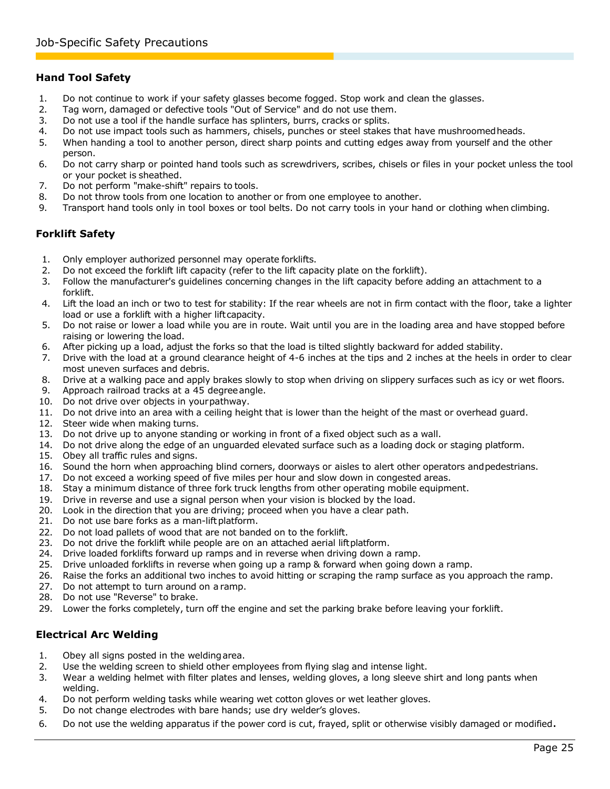# **Hand Tool Safety**

- 1. Do not continue to work if your safety glasses become fogged. Stop work and clean the glasses.
- 2. Tag worn, damaged or defective tools "Out of Service" and do not use them.
- 3. Do not use a tool if the handle surface has splinters, burrs, cracks or splits.
- 4. Do not use impact tools such as hammers, chisels, punches or steel stakes that have mushroomedheads.
- 5. When handing a tool to another person, direct sharp points and cutting edges away from yourself and the other person.
- 6. Do not carry sharp or pointed hand tools such as screwdrivers, scribes, chisels or files in your pocket unless the tool or your pocket is sheathed.
- 7. Do not perform "make-shift" repairs to tools.
- 8. Do not throw tools from one location to another or from one employee to another.
- 9. Transport hand tools only in tool boxes or tool belts. Do not carry tools in your hand or clothing when climbing.

## **Forklift Safety**

- 1. Only employer authorized personnel may operate forklifts.
- 2. Do not exceed the forklift lift capacity (refer to the lift capacity plate on the forklift).
- 3. Follow the manufacturer's guidelines concerning changes in the lift capacity before adding an attachment to a forklift.
- 4. Lift the load an inch or two to test for stability: If the rear wheels are not in firm contact with the floor, take a lighter load or use a forklift with a higher liftcapacity.
- 5. Do not raise or lower a load while you are in route. Wait until you are in the loading area and have stopped before raising or lowering the load.
- 6. After picking up a load, adjust the forks so that the load is tilted slightly backward for added stability.
- 7. Drive with the load at a ground clearance height of 4-6 inches at the tips and 2 inches at the heels in order to clear most uneven surfaces and debris.
- 8. Drive at a walking pace and apply brakes slowly to stop when driving on slippery surfaces such as icy or wet floors.
- 9. Approach railroad tracks at a 45 degree angle.
- 10. Do not drive over objects in yourpathway.
- 11. Do not drive into an area with a ceiling height that is lower than the height of the mast or overhead guard.
- 12. Steer wide when making turns.
- 13. Do not drive up to anyone standing or working in front of a fixed object such as a wall.
- 14. Do not drive along the edge of an unguarded elevated surface such as a loading dock or staging platform.
- 15. Obey all traffic rules and signs.
- 16. Sound the horn when approaching blind corners, doorways or aisles to alert other operators andpedestrians.
- 17. Do not exceed a working speed of five miles per hour and slow down in congested areas.
- 18. Stay a minimum distance of three fork truck lengths from other operating mobile equipment.
- 19. Drive in reverse and use a signal person when your vision is blocked by the load.
- 20. Look in the direction that you are driving; proceed when you have a clear path.
- 21. Do not use bare forks as a man-lift platform.
- 22. Do not load pallets of wood that are not banded on to the forklift.
- 23. Do not drive the forklift while people are on an attached aerial liftplatform.
- 24. Drive loaded forklifts forward up ramps and in reverse when driving down a ramp.
- 25. Drive unloaded forklifts in reverse when going up a ramp & forward when going down a ramp.
- 26. Raise the forks an additional two inches to avoid hitting or scraping the ramp surface as you approach the ramp.
- 27. Do not attempt to turn around on a ramp.
- 28. Do not use "Reverse" to brake.
- 29. Lower the forks completely, turn off the engine and set the parking brake before leaving your forklift.

## **Electrical Arc Welding**

- 1. Obey all signs posted in the weldingarea.
- 2. Use the welding screen to shield other employees from flying slag and intense light.
- 3. Wear a welding helmet with filter plates and lenses, welding gloves, a long sleeve shirt and long pants when welding.
- 4. Do not perform welding tasks while wearing wet cotton gloves or wet leather gloves.
- 5. Do not change electrodes with bare hands; use dry welder's gloves.
- 6. Do not use the welding apparatus if the power cord is cut, frayed, split or otherwise visibly damaged or modified.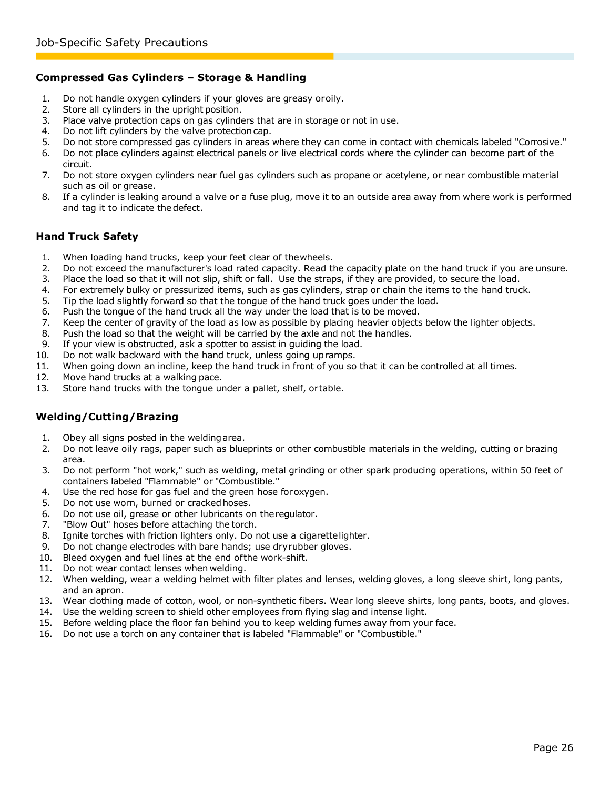## **Compressed Gas Cylinders – Storage & Handling**

- 1. Do not handle oxygen cylinders if your gloves are greasy oroily.
- 2. Store all cylinders in the upright position.
- 3. Place valve protection caps on gas cylinders that are in storage or not in use.
- 4. Do not lift cylinders by the valve protectioncap.
- 5. Do not store compressed gas cylinders in areas where they can come in contact with chemicals labeled "Corrosive."
- 6. Do not place cylinders against electrical panels or live electrical cords where the cylinder can become part of the circuit.
- 7. Do not store oxygen cylinders near fuel gas cylinders such as propane or acetylene, or near combustible material such as oil or grease.
- 8. If a cylinder is leaking around a valve or a fuse plug, move it to an outside area away from where work is performed and tag it to indicate the defect.

## **Hand Truck Safety**

- 1. When loading hand trucks, keep your feet clear of thewheels.
- 2. Do not exceed the manufacturer's load rated capacity. Read the capacity plate on the hand truck if you are unsure.
- 3. Place the load so that it will not slip, shift or fall. Use the straps, if they are provided, to secure the load.
- 4. For extremely bulky or pressurized items, such as gas cylinders, strap or chain the items to the hand truck.
- 5. Tip the load slightly forward so that the tongue of the hand truck goes under the load.
- 6. Push the tongue of the hand truck all the way under the load that is to be moved.
- 7. Keep the center of gravity of the load as low as possible by placing heavier objects below the lighter objects.
- 8. Push the load so that the weight will be carried by the axle and not the handles.
- 9. If your view is obstructed, ask a spotter to assist in guiding the load.
- 10. Do not walk backward with the hand truck, unless going upramps.
- 11. When going down an incline, keep the hand truck in front of you so that it can be controlled at all times.
- 12. Move hand trucks at a walking pace.
- 13. Store hand trucks with the tongue under a pallet, shelf, ortable.

# **Welding/Cutting/Brazing**

- 1. Obey all signs posted in the weldingarea.
- 2. Do not leave oily rags, paper such as blueprints or other combustible materials in the welding, cutting or brazing area.
- 3. Do not perform "hot work," such as welding, metal grinding or other spark producing operations, within 50 feet of containers labeled "Flammable" or "Combustible."
- 4. Use the red hose for gas fuel and the green hose foroxygen.
- 5. Do not use worn, burned or cracked hoses.
- 6. Do not use oil, grease or other lubricants on theregulator.
- 7. "Blow Out" hoses before attaching the torch.
- 8. Ignite torches with friction lighters only. Do not use a cigarettelighter.
- 9. Do not change electrodes with bare hands; use dryrubber gloves.
- 10. Bleed oxygen and fuel lines at the end ofthe work-shift.
- 11. Do not wear contact lenses when welding.
- 12. When welding, wear a welding helmet with filter plates and lenses, welding gloves, a long sleeve shirt, long pants, and an apron.
- 13. Wear clothing made of cotton, wool, or non-synthetic fibers. Wear long sleeve shirts, long pants, boots, and gloves.
- 14. Use the welding screen to shield other employees from flying slag and intense light.
- 15. Before welding place the floor fan behind you to keep welding fumes away from your face.
- 16. Do not use a torch on any container that is labeled "Flammable" or "Combustible."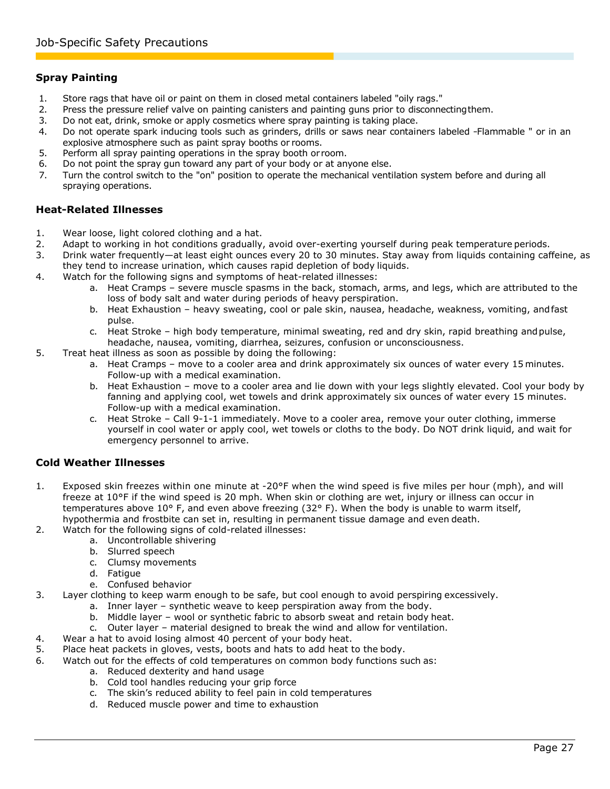## **Spray Painting**

- 1. Store rags that have oil or paint on them in closed metal containers labeled "oily rags."
- 2. Press the pressure relief valve on painting canisters and painting guns prior to disconnectingthem.
- 3. Do not eat, drink, smoke or apply cosmetics where spray painting is taking place.
- 4. Do not operate spark inducing tools such as grinders, drills or saws near containers labeled -Flammable " or in an explosive atmosphere such as paint spray booths or rooms.
- 5. Perform all spray painting operations in the spray booth orroom.
- 6. Do not point the spray gun toward any part of your body or at anyone else.
- 7. Turn the control switch to the "on" position to operate the mechanical ventilation system before and during all spraying operations.

## **Heat-Related Illnesses**

- 1. Wear loose, light colored clothing and a hat.
- 2. Adapt to working in hot conditions gradually, avoid over-exerting yourself during peak temperature periods.
- 3. Drink water frequently—at least eight ounces every 20 to 30 minutes. Stay away from liquids containing caffeine, as they tend to increase urination, which causes rapid depletion of body liquids.
- 4. Watch for the following signs and symptoms of heat-related illnesses:
	- a. Heat Cramps severe muscle spasms in the back, stomach, arms, and legs, which are attributed to the loss of body salt and water during periods of heavy perspiration.
	- b. Heat Exhaustion heavy sweating, cool or pale skin, nausea, headache, weakness, vomiting, andfast pulse.
	- c. Heat Stroke high body temperature, minimal sweating, red and dry skin, rapid breathing andpulse, headache, nausea, vomiting, diarrhea, seizures, confusion or unconsciousness.
- 5. Treat heat illness as soon as possible by doing the following:
	- a. Heat Cramps move to a cooler area and drink approximately six ounces of water every 15 minutes. Follow-up with a medical examination.
	- b. Heat Exhaustion move to a cooler area and lie down with your legs slightly elevated. Cool your body by fanning and applying cool, wet towels and drink approximately six ounces of water every 15 minutes. Follow-up with a medical examination.
	- c. Heat Stroke Call 9-1-1 immediately. Move to a cooler area, remove your outer clothing, immerse yourself in cool water or apply cool, wet towels or cloths to the body. Do NOT drink liquid, and wait for emergency personnel to arrive.

## **Cold Weather Illnesses**

- 1. Exposed skin freezes within one minute at -20°F when the wind speed is five miles per hour (mph), and will freeze at 10°F if the wind speed is 20 mph. When skin or clothing are wet, injury or illness can occur in temperatures above 10° F, and even above freezing (32° F). When the body is unable to warm itself, hypothermia and frostbite can set in, resulting in permanent tissue damage and even death.
- 2. Watch for the following signs of cold-related illnesses:
	- a. Uncontrollable shivering
		- b. Slurred speech
		- c. Clumsy movements
		- d. Fatigue
	- e. Confused behavior
- 3. Layer clothing to keep warm enough to be safe, but cool enough to avoid perspiring excessively.
	- a. Inner layer synthetic weave to keep perspiration away from the body.
	- b. Middle layer wool or synthetic fabric to absorb sweat and retain body heat.
	- c. Outer layer material designed to break the wind and allow for ventilation.
- 4. Wear a hat to avoid losing almost 40 percent of your body heat.
- 5. Place heat packets in gloves, vests, boots and hats to add heat to the body.
- 6. Watch out for the effects of cold temperatures on common body functions such as:
	- a. Reduced dexterity and hand usage
	- b. Cold tool handles reducing your grip force
	- c. The skin's reduced ability to feel pain in cold temperatures
	- d. Reduced muscle power and time to exhaustion